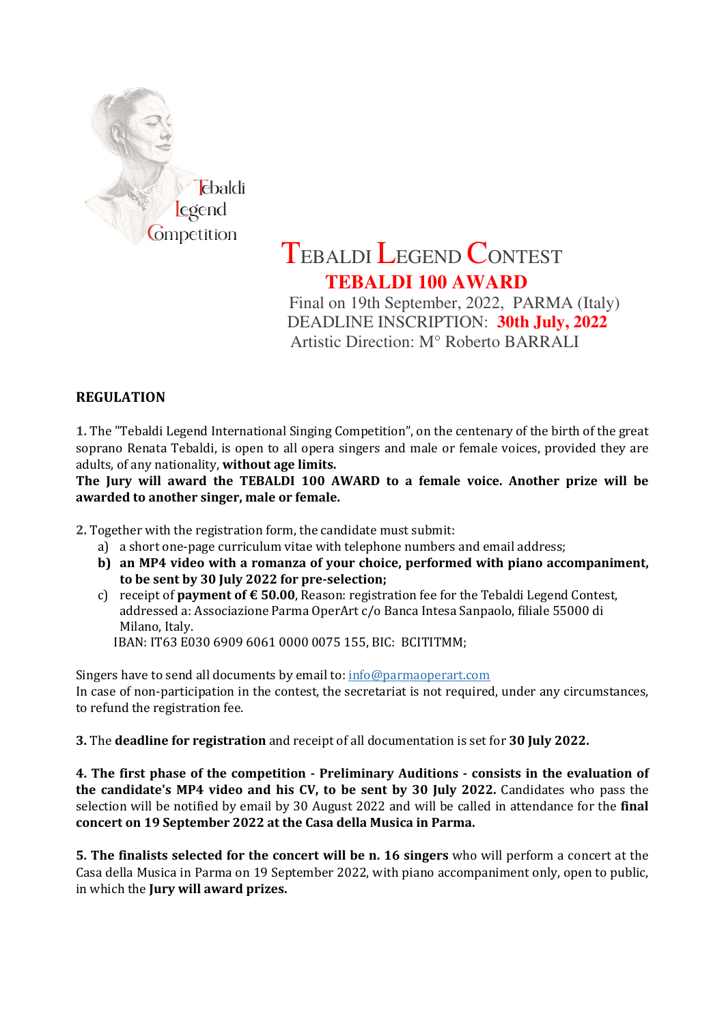

## TEBALDI LEGEND CONTEST **TEBALDI 100 AWARD**

 Final on 19th September, 2022, PARMA (Italy) DEADLINE INSCRIPTION: **30th July, 2022** Artistic Direction: M° Roberto BARRALI

## REGULATION

1. The "Tebaldi Legend International Singing Competition", on the centenary of the birth of the great soprano Renata Tebaldi, is open to all opera singers and male or female voices, provided they are adults, of any nationality, without age limits.

The Jury will award the TEBALDI 100 AWARD to a female voice. Another prize will be awarded to another singer, male or female.

2. Together with the registration form, the candidate must submit:

- a) a short one-page curriculum vitae with telephone numbers and email address;
- b) an MP4 video with a romanza of your choice, performed with piano accompaniment, to be sent by 30 July 2022 for pre-selection;
- c) receipt of **payment of**  $\epsilon$  **50.00**, Reason: registration fee for the Tebaldi Legend Contest, addressed a: Associazione Parma OperArt c/o Banca Intesa Sanpaolo, filiale 55000 di Milano, Italy.
	- IBAN: IT63 E030 6909 6061 0000 0075 155, BIC: BCITITMM;

Singers have to send all documents by email to: info@parmaoperart.com In case of non-participation in the contest, the secretariat is not required, under any circumstances, to refund the registration fee.

3. The deadline for registration and receipt of all documentation is set for 30 July 2022.

4. The first phase of the competition - Preliminary Auditions - consists in the evaluation of the candidate's MP4 video and his CV, to be sent by 30 July 2022. Candidates who pass the selection will be notified by email by 30 August 2022 and will be called in attendance for the final concert on 19 September 2022 at the Casa della Musica in Parma.

5. The finalists selected for the concert will be n. 16 singers who will perform a concert at the Casa della Musica in Parma on 19 September 2022, with piano accompaniment only, open to public, in which the Jury will award prizes.